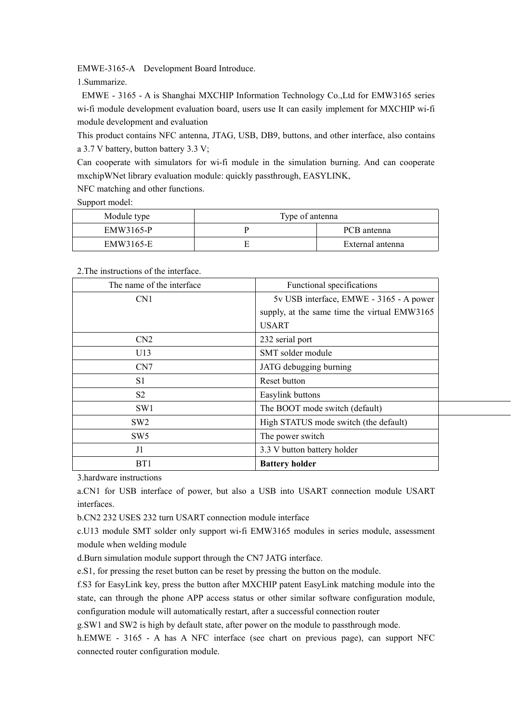EMWE-3165-A Development Board Introduce.

1.Summarize.

EMWE - 3165 - A is Shanghai MXCHIP Information Technology Co.,Ltd for EMW3165 series wi-fi module development evaluation board, users use It can easily implement for MXCHIP wi-fi module development and evaluation

This product contains NFC antenna, JTAG, USB, DB9, buttons, and other interface, also contains a 3.7 V battery, button battery 3.3 V;

Can cooperate with simulators for wi-fi module in the simulation burning. And can cooperate mxchipWNet library evaluation module: quickly passthrough, EASYLINK,

NFC matching and other functions.

Support model:

| Module type | Type of antenna |                  |
|-------------|-----------------|------------------|
| EMW3165-P   |                 | PCB antenna      |
| EMW3165-E   |                 | External antenna |

2.The instructions of the interface.

| The name of the interface. | Functional specifications                    |  |
|----------------------------|----------------------------------------------|--|
| CN <sub>1</sub>            | 5v USB interface, EMWE - 3165 - A power      |  |
|                            | supply, at the same time the virtual EMW3165 |  |
|                            | <b>USART</b>                                 |  |
| CN <sub>2</sub>            | 232 serial port                              |  |
| U13                        | SMT solder module                            |  |
| CN7                        | JATG debugging burning                       |  |
| S1                         | Reset button                                 |  |
| S <sub>2</sub>             | Easylink buttons                             |  |
| SW1                        | The BOOT mode switch (default)               |  |
| SW <sub>2</sub>            | High STATUS mode switch (the default)        |  |
| SW <sub>5</sub>            | The power switch                             |  |
| J1                         | 3.3 V button battery holder                  |  |
| BT1                        | <b>Battery holder</b>                        |  |

3.hardware instructions

a.CN1 for USB interface of power, but also a USB into USART connection module USART interfaces.

b.CN2 232 USES 232 turn USART connection module interface

c.U13 module SMT solder only support wi-fi EMW3165 modules in series module, assessment module when welding module

d.Burn simulation module support through the CN7 JATG interface.

e.S1, for pressing the reset button can be reset by pressing the button on the module.

f.S3 for EasyLink key, press the button after MXCHIP patent EasyLink matching module into the state, can through the phone APP access status or other similar software configuration module, configuration module will automatically restart, after a successful connection router

g.SW1 and SW2 is high by default state, after power on the module to passthrough mode.

h.EMWE - 3165 - A has A NFC interface (see chart on previous page), can support NFC connected router configuration module.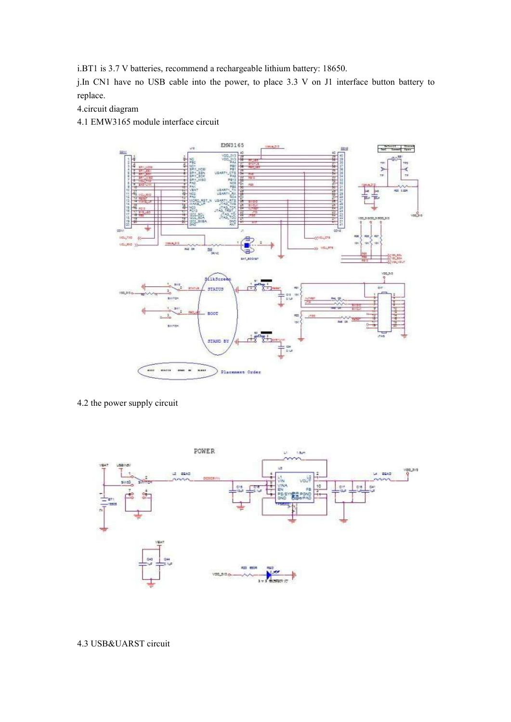i.BT1 is 3.7 V batteries, recommend a rechargeable lithium battery: 18650.

j.In CN1 have no USB cable into the power, to place 3.3 V on J1 interface button battery to replace.

4.circuit diagram

4.1 EMW3165 module interface circuit



4.2 the power supply circuit



## 4.3 USB&UARST circuit